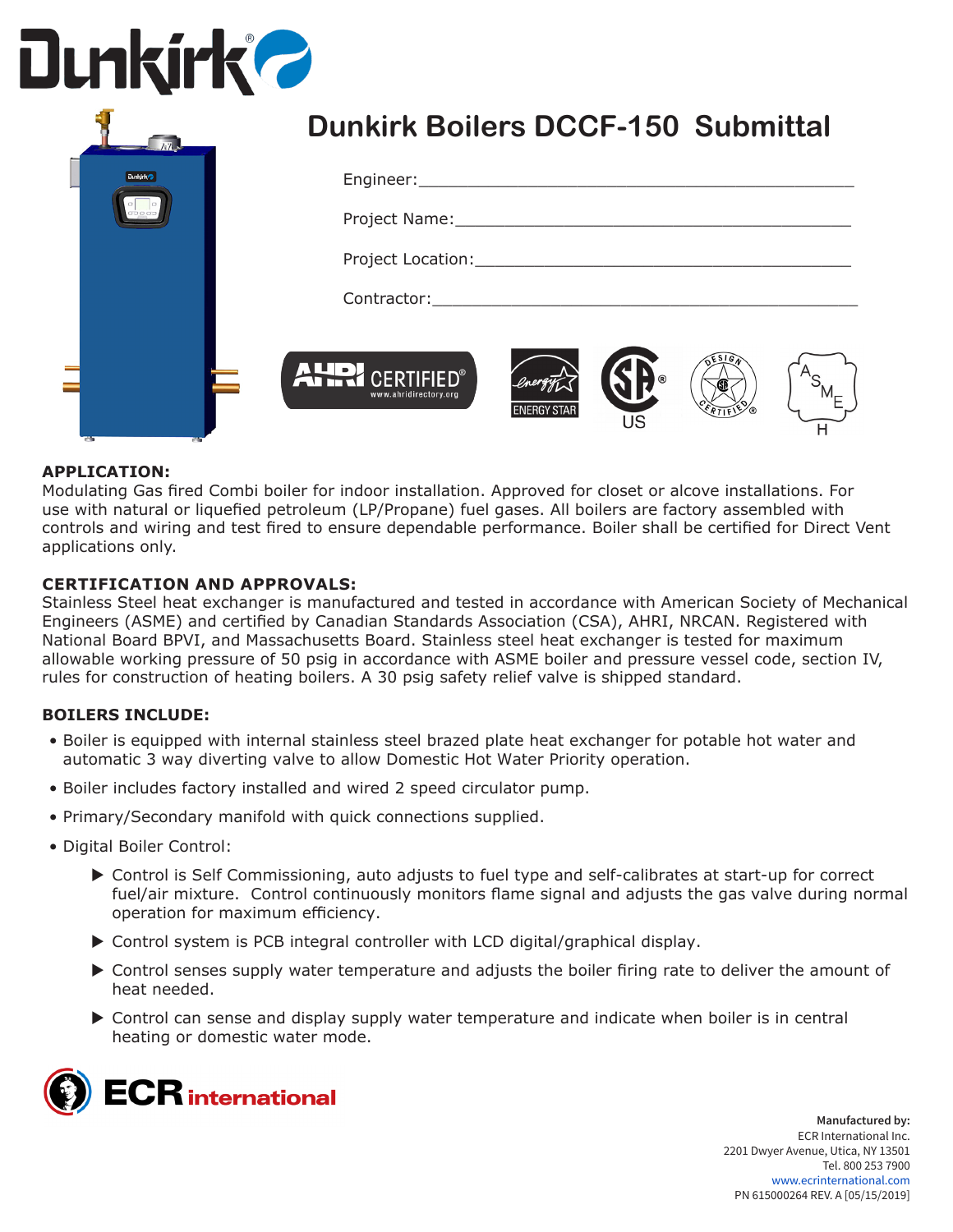# **Dunkirk 2**

|                | <b>Dunkirk Boilers DCCF-150 Submittal</b>                             |
|----------------|-----------------------------------------------------------------------|
| <b>Dunkirk</b> |                                                                       |
|                | <b>ALLO CERTIFIED®</b><br>www.ahridirectory.org<br><b>ENERGY STAF</b> |

#### **APPLICATION:**

Modulating Gas fired Combi boiler for indoor installation. Approved for closet or alcove installations. For use with natural or liquefied petroleum (LP/Propane) fuel gases. All boilers are factory assembled with controls and wiring and test fired to ensure dependable performance. Boiler shall be certified for Direct Vent applications only.

#### **CERTIFICATION AND APPROVALS:**

Stainless Steel heat exchanger is manufactured and tested in accordance with American Society of Mechanical Engineers (ASME) and certified by Canadian Standards Association (CSA), AHRI, NRCAN. Registered with National Board BPVI, and Massachusetts Board. Stainless steel heat exchanger is tested for maximum allowable working pressure of 50 psig in accordance with ASME boiler and pressure vessel code, section IV, rules for construction of heating boilers. A 30 psig safety relief valve is shipped standard.

#### **BOILERS INCLUDE:**

- Boiler is equipped with internal stainless steel brazed plate heat exchanger for potable hot water and automatic 3 way diverting valve to allow Domestic Hot Water Priority operation.
- Boiler includes factory installed and wired 2 speed circulator pump.
- Primary/Secondary manifold with quick connections supplied.
- Digital Boiler Control:
	- ▶ Control is Self Commissioning, auto adjusts to fuel type and self-calibrates at start-up for correct fuel/air mixture. Control continuously monitors flame signal and adjusts the gas valve during normal operation for maximum efficiency.
	- $\triangleright$  Control system is PCB integral controller with LCD digital/graphical display.
	- $\triangleright$  Control senses supply water temperature and adjusts the boiler firing rate to deliver the amount of heat needed.
	- ▶ Control can sense and display supply water temperature and indicate when boiler is in central heating or domestic water mode.

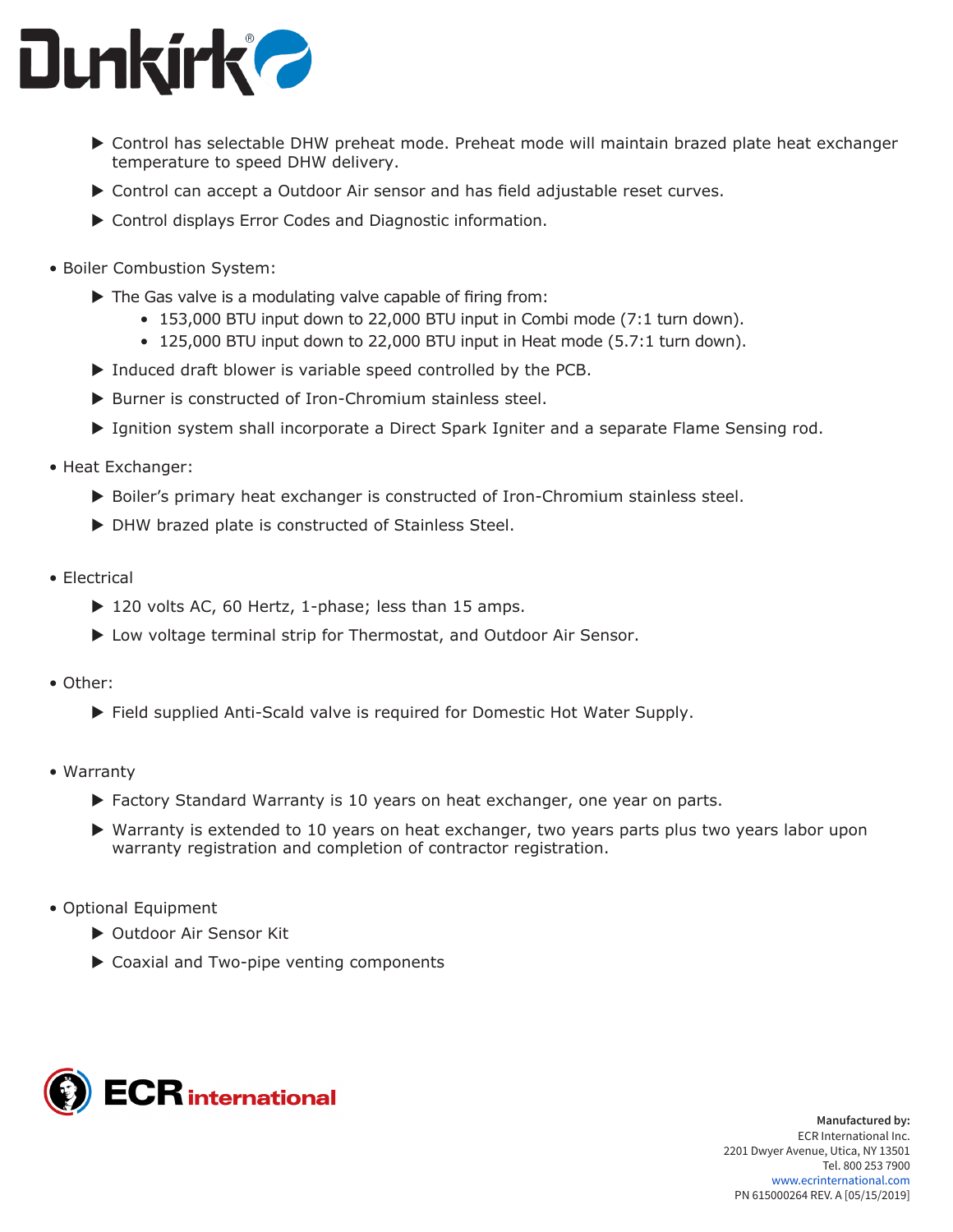

- ▶ Control has selectable DHW preheat mode. Preheat mode will maintain brazed plate heat exchanger temperature to speed DHW delivery.
- $\triangleright$  Control can accept a Outdoor Air sensor and has field adjustable reset curves.
- $\triangleright$  Control displays Error Codes and Diagnostic information.
- Boiler Combustion System:
	- $\blacktriangleright$  The Gas valve is a modulating valve capable of firing from:
		- 153,000 BTU input down to 22,000 BTU input in Combi mode (7:1 turn down).
		- 125,000 BTU input down to 22,000 BTU input in Heat mode (5.7:1 turn down).
	- $\blacktriangleright$  Induced draft blower is variable speed controlled by the PCB.
	- $\blacktriangleright$  Burner is constructed of Iron-Chromium stainless steel.
	- Ignition system shall incorporate a Direct Spark Igniter and a separate Flame Sensing rod.
- Heat Exchanger:
	- $\triangleright$  Boiler's primary heat exchanger is constructed of Iron-Chromium stainless steel.
	- $\triangleright$  DHW brazed plate is constructed of Stainless Steel.
- Electrical
	- $\triangleright$  120 volts AC, 60 Hertz, 1-phase; less than 15 amps.
	- ▶ Low voltage terminal strip for Thermostat, and Outdoor Air Sensor.
- Other:
	- ▶ Field supplied Anti-Scald valve is required for Domestic Hot Water Supply.
- Warranty
	- $\triangleright$  Factory Standard Warranty is 10 years on heat exchanger, one year on parts.
	- $\blacktriangleright$  Warranty is extended to 10 years on heat exchanger, two years parts plus two years labor upon warranty registration and completion of contractor registration.
- Optional Equipment
	- ▶ Outdoor Air Sensor Kit
	- $\triangleright$  Coaxial and Two-pipe venting components



**Manufactured by:** ECR International Inc. 2201 Dwyer Avenue, Utica, NY 13501 Tel. 800 253 7900 www.ecrinternational.com PN 615000264 REV. A [05/15/2019]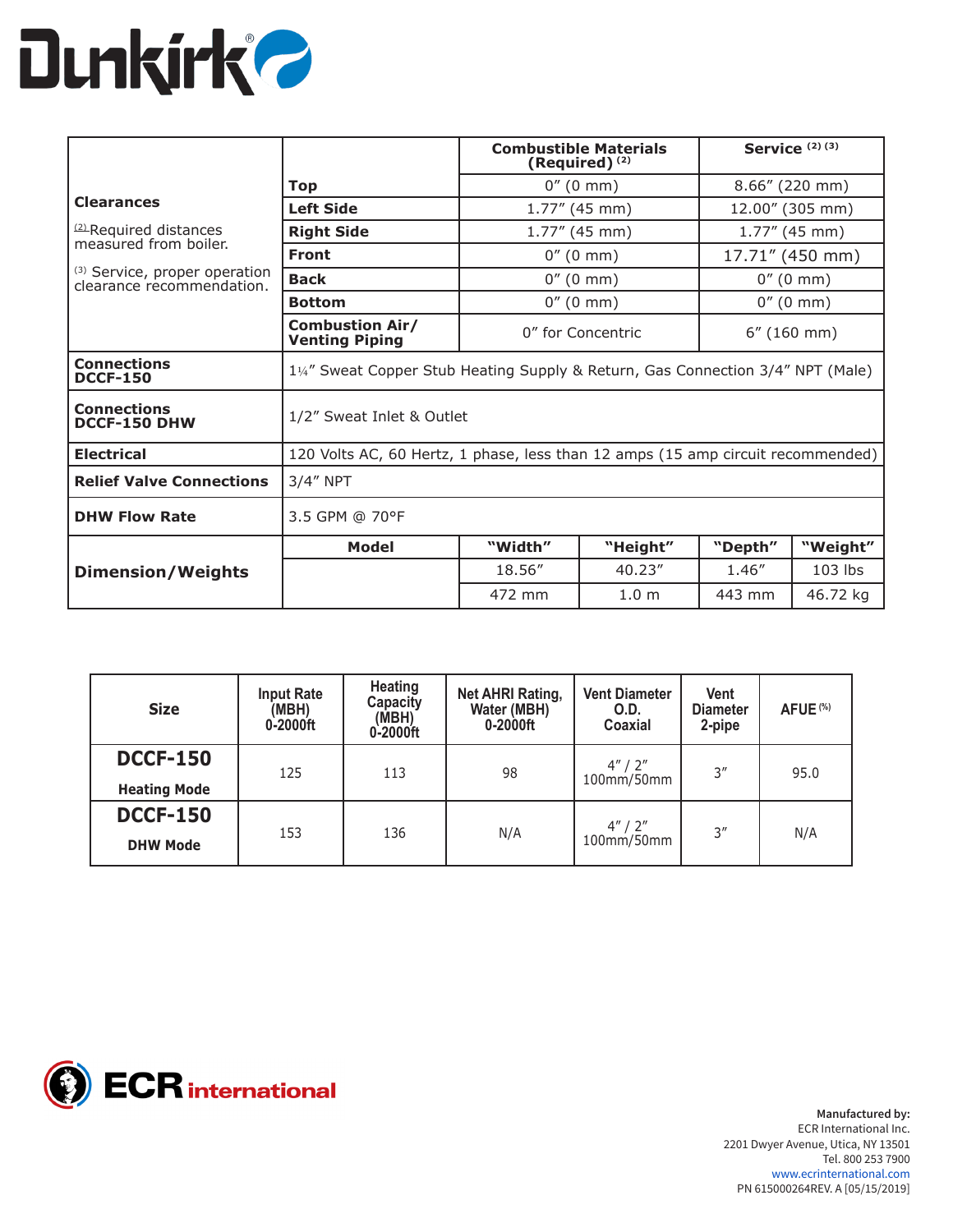

|                                                            | <b>Combustible Materials</b><br>(Required) <sup>(2)</sup>                       |                                            | <b>Service</b> $(2)$ $(3)$ |                     |           |
|------------------------------------------------------------|---------------------------------------------------------------------------------|--------------------------------------------|----------------------------|---------------------|-----------|
|                                                            | Top                                                                             | $0''(0 \text{ mm})$                        |                            | $8.66''$ (220 mm)   |           |
| <b>Clearances</b>                                          | <b>Left Side</b>                                                                |                                            | $1.77''$ (45 mm)           | 12.00" (305 mm)     |           |
| <sup>(2)</sup> Required distances<br>measured from boiler. | <b>Right Side</b>                                                               | $1.77''$ (45 mm)                           |                            | $1.77''$ (45 mm)    |           |
|                                                            | <b>Front</b>                                                                    |                                            | $0''(0 \text{ mm})$        | 17.71" (450 mm)     |           |
| (3) Service, proper operation<br>clearance recommendation. | <b>Back</b>                                                                     | $0''(0 \text{ mm})$<br>$0''(0 \text{ mm})$ |                            |                     |           |
|                                                            | <b>Bottom</b>                                                                   | $0''(0 \text{ mm})$                        |                            | $0''(0 \text{ mm})$ |           |
|                                                            | <b>Combustion Air/</b><br><b>Venting Piping</b>                                 | 0" for Concentric<br>$6''$ (160 mm)        |                            |                     |           |
| <b>Connections</b><br><b>DCCF-150</b>                      | 1¼" Sweat Copper Stub Heating Supply & Return, Gas Connection 3/4" NPT (Male)   |                                            |                            |                     |           |
| <b>Connections</b><br><b>DCCF-150 DHW</b>                  | 1/2" Sweat Inlet & Outlet                                                       |                                            |                            |                     |           |
| <b>Electrical</b>                                          | 120 Volts AC, 60 Hertz, 1 phase, less than 12 amps (15 amp circuit recommended) |                                            |                            |                     |           |
| <b>Relief Valve Connections</b>                            | $3/4''$ NPT                                                                     |                                            |                            |                     |           |
| <b>DHW Flow Rate</b>                                       | 3.5 GPM @ 70°F                                                                  |                                            |                            |                     |           |
|                                                            | <b>Model</b>                                                                    | "Width"                                    | "Height"                   | "Depth"             | "Weight"  |
| <b>Dimension/Weights</b>                                   |                                                                                 | 18.56"                                     | 40.23''                    | 1.46"               | $103$ lbs |
|                                                            |                                                                                 | 472 mm                                     | 1.0 <sub>m</sub>           | 443 mm              | 46.72 kg  |

| <b>Size</b>                            | <b>Input Rate</b><br>(MBH)<br>0-2000ft | Heating<br>Capacity<br>(MBH)<br>0-2000ft | <b>Net AHRI Rating,</b><br>Water (MBH)<br>0-2000ft | <b>Vent Diameter</b><br>O.D.<br>Coaxial | Vent<br><b>Diameter</b><br>2-pipe | AFUE <sup>(%)</sup> |
|----------------------------------------|----------------------------------------|------------------------------------------|----------------------------------------------------|-----------------------------------------|-----------------------------------|---------------------|
| <b>DCCF-150</b><br><b>Heating Mode</b> | 125                                    | 113                                      | 98                                                 | 4''/2''<br>100mm/50mm                   | 3''                               | 95.0                |
| <b>DCCF-150</b><br><b>DHW Mode</b>     | 153                                    | 136                                      | N/A                                                | 4''/2''<br>100mm/50mm                   | 3''                               | N/A                 |



**Manufactured by:** ECR International Inc. 2201 Dwyer Avenue, Utica, NY 13501 Tel. 800 253 7900 www.ecrinternational.com PN 615000264REV. A [05/15/2019]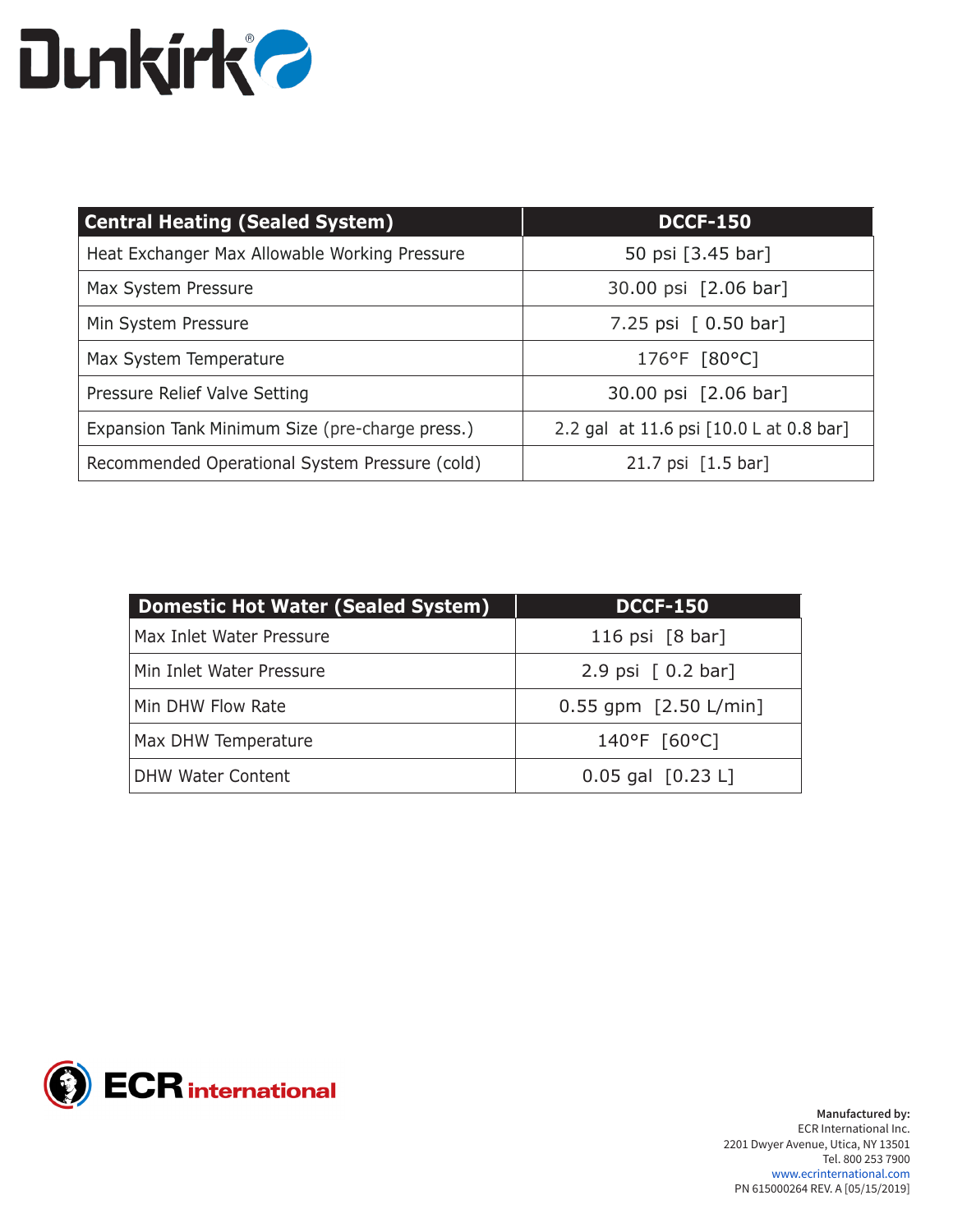### **Dunkirk?**

| <b>Central Heating (Sealed System)</b>          | <b>DCCF-150</b>                         |
|-------------------------------------------------|-----------------------------------------|
| Heat Exchanger Max Allowable Working Pressure   | 50 psi [3.45 bar]                       |
| Max System Pressure                             | 30.00 psi [2.06 bar]                    |
| Min System Pressure                             | 7.25 psi $[0.50 \text{ bar}]$           |
| Max System Temperature                          | 176°F [80°C]                            |
| Pressure Relief Valve Setting                   | 30.00 psi [2.06 bar]                    |
| Expansion Tank Minimum Size (pre-charge press.) | 2.2 gal at 11.6 psi [10.0 L at 0.8 bar] |
| Recommended Operational System Pressure (cold)  | 21.7 psi [1.5 bar]                      |

| <b>Domestic Hot Water (Sealed System)</b> | <b>DCCF-150</b>                   |
|-------------------------------------------|-----------------------------------|
| Max Inlet Water Pressure                  | 116 psi $[8 \text{ bar}]$         |
| Min Inlet Water Pressure                  | 2.9 psi $[0.2 \text{ bar}]$       |
| Min DHW Flow Rate                         | $0.55$ gpm $[2.50 \text{ L/min}]$ |
| Max DHW Temperature                       | 140°F [60°C]                      |
| <b>DHW Water Content</b>                  | $0.05$ gal $[0.23 L]$             |

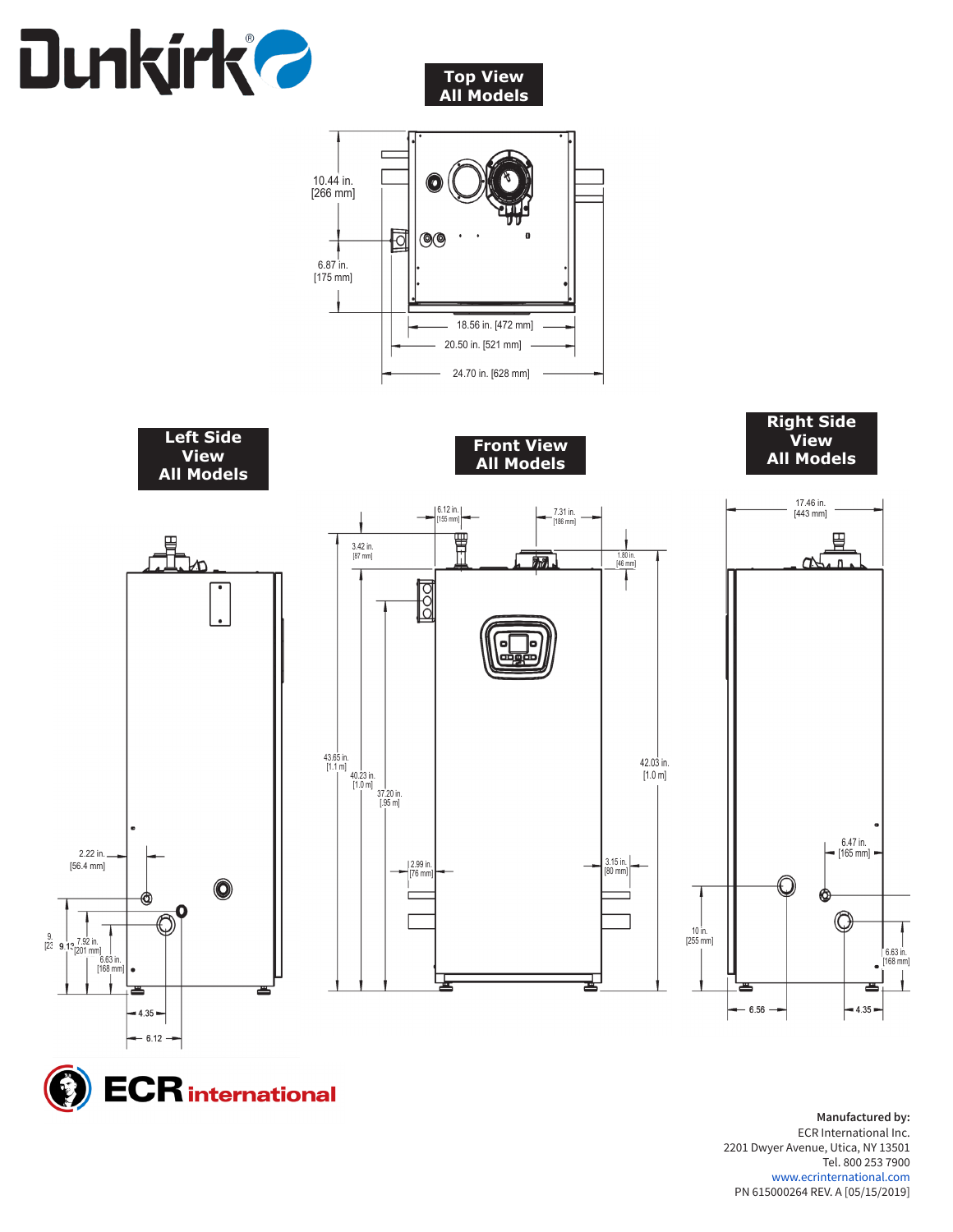







**Manufactured by:** ECR International Inc. 2201 Dwyer Avenue, Utica, NY 13501 Tel. 800 253 7900 www.ecrinternational.com PN 615000264 REV. A [05/15/2019]